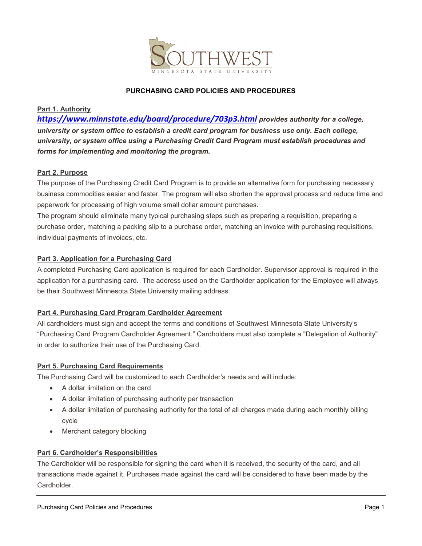

# **PURCHASING CARD POLICIES AND PROCEDURES**

#### **Part 1. Authority**

*<https://www.minnstate.edu/board/procedure/703p3.html> provides authority for a college, university or system office to establish a credit card program for business use only. Each college, university, or system office using a Purchasing Credit Card Program must establish procedures and forms for implementing and monitoring the program.*

#### **Part 2. Purpose**

The purpose of the Purchasing Credit Card Program is to provide an alternative form for purchasing necessary business commodities easier and faster. The program will also shorten the approval process and reduce time and paperwork for processing of high volume small dollar amount purchases.

The program should eliminate many typical purchasing steps such as preparing a requisition, preparing a purchase order, matching a packing slip to a purchase order, matching an invoice with purchasing requisitions, individual payments of invoices, etc.

#### **Part 3. Application for a Purchasing Card**

A completed Purchasing Card application is required for each Cardholder. Supervisor approval is required in the application for a purchasing card. The address used on the Cardholder application for the Employee will always be their Southwest Minnesota State University mailing address.

#### **Part 4. Purchasing Card Program Cardholder Agreement**

All cardholders must sign and accept the terms and conditions of Southwest Minnesota State University's "Purchasing Card Program Cardholder Agreement." Cardholders must also complete a "Delegation of Authority" in order to authorize their use of the Purchasing Card.

#### **Part 5. Purchasing Card Requirements**

The Purchasing Card will be customized to each Cardholder's needs and will include:

- A dollar limitation on the card
- A dollar limitation of purchasing authority per transaction
- A dollar limitation of purchasing authority for the total of all charges made during each monthly billing cycle
- Merchant category blocking

#### **Part 6. Cardholder's Responsibilities**

The Cardholder will be responsible for signing the card when it is received, the security of the card, and all transactions made against it. Purchases made against the card will be considered to have been made by the Cardholder.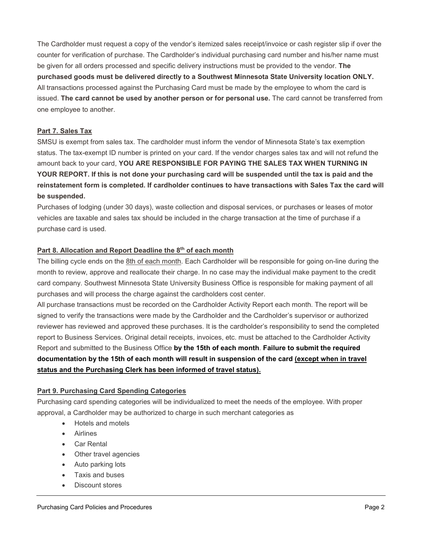The Cardholder must request a copy of the vendor's itemized sales receipt/invoice or cash register slip if over the counter for verification of purchase. The Cardholder's individual purchasing card number and his/her name must be given for all orders processed and specific delivery instructions must be provided to the vendor. **The purchased goods must be delivered directly to a Southwest Minnesota State University location ONLY.** All transactions processed against the Purchasing Card must be made by the employee to whom the card is issued. **The card cannot be used by another person or for personal use.** The card cannot be transferred from one employee to another.

### **Part 7. Sales Tax**

SMSU is exempt from sales tax. The cardholder must inform the vendor of Minnesota State's tax exemption status. The tax-exempt ID number is printed on your card. If the vendor charges sales tax and will not refund the amount back to your card, **YOU ARE RESPONSIBLE FOR PAYING THE SALES TAX WHEN TURNING IN YOUR REPORT. If this is not done your purchasing card will be suspended until the tax is paid and the reinstatement form is completed. If cardholder continues to have transactions with Sales Tax the card will be suspended.**

Purchases of lodging (under 30 days), waste collection and disposal services, or purchases or leases of motor vehicles are taxable and sales tax should be included in the charge transaction at the time of purchase if a purchase card is used.

### **Part 8. Allocation and Report Deadline the 8th of each month**

The billing cycle ends on the 8th of each month. Each Cardholder will be responsible for going on-line during the month to review, approve and reallocate their charge. In no case may the individual make payment to the credit card company. Southwest Minnesota State University Business Office is responsible for making payment of all purchases and will process the charge against the cardholders cost center.

All purchase transactions must be recorded on the Cardholder Activity Report each month. The report will be signed to verify the transactions were made by the Cardholder and the Cardholder's supervisor or authorized reviewer has reviewed and approved these purchases. It is the cardholder's responsibility to send the completed report to Business Services. Original detail receipts, invoices, etc. must be attached to the Cardholder Activity Report and submitted to the Business Office **by the 15th of each month**. **Failure to submit the required documentation by the 15th of each month will result in suspension of the card (except when in travel status and the Purchasing Clerk has been informed of travel status).**

#### **Part 9. Purchasing Card Spending Categories**

Purchasing card spending categories will be individualized to meet the needs of the employee. With proper approval, a Cardholder may be authorized to charge in such merchant categories as

- Hotels and motels
- Airlines
- Car Rental
- Other travel agencies
- Auto parking lots
- Taxis and buses
- Discount stores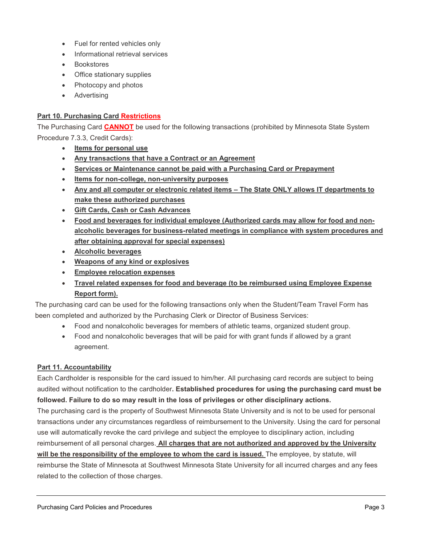- Fuel for rented vehicles only
- Informational retrieval services
- Bookstores
- Office stationary supplies
- Photocopy and photos
- Advertising

# **Part 10. Purchasing Card Restrictions**

The Purchasing Card **CANNOT** be used for the following transactions (prohibited by Minnesota State System Procedure 7.3.3, Credit Cards):

- **Items for personal use**
- **Any transactions that have a Contract or an Agreement**
- **Services or Maintenance cannot be paid with a Purchasing Card or Prepayment**
- **Items for non-college, non-university purposes**
- **Any and all computer or electronic related items – The State ONLY allows IT departments to make these authorized purchases**
- **Gift Cards, Cash or Cash Advances**
- **Food and beverages for individual employee (Authorized cards may allow for food and nonalcoholic beverages for business-related meetings in compliance with system procedures and after obtaining approval for special expenses)**
- **Alcoholic beverages**
- **Weapons of any kind or explosives**
- **Employee relocation expenses**
- **Travel related expenses for food and beverage (to be reimbursed using Employee Expense Report form).**

The purchasing card can be used for the following transactions only when the Student/Team Travel Form has been completed and authorized by the Purchasing Clerk or Director of Business Services:

- Food and nonalcoholic beverages for members of athletic teams, organized student group.
- Food and nonalcoholic beverages that will be paid for with grant funds if allowed by a grant agreement.

#### **Part 11. Accountability**

Each Cardholder is responsible for the card issued to him/her. All purchasing card records are subject to being audited without notification to the cardholder**. Established procedures for using the purchasing card must be followed. Failure to do so may result in the loss of privileges or other disciplinary actions.**

The purchasing card is the property of Southwest Minnesota State University and is not to be used for personal transactions under any circumstances regardless of reimbursement to the University. Using the card for personal use will automatically revoke the card privilege and subject the employee to disciplinary action, including reimbursement of all personal charges. **All charges that are not authorized and approved by the University will be the responsibility of the employee to whom the card is issued.** The employee, by statute, will reimburse the State of Minnesota at Southwest Minnesota State University for all incurred charges and any fees related to the collection of those charges.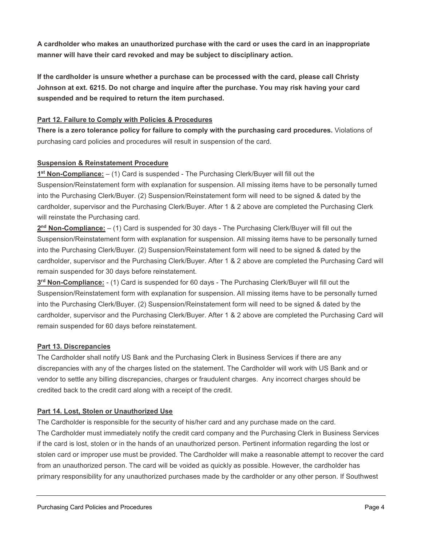**A cardholder who makes an unauthorized purchase with the card or uses the card in an inappropriate manner will have their card revoked and may be subject to disciplinary action.**

**If the cardholder is unsure whether a purchase can be processed with the card, please call Christy Johnson at ext. 6215. Do not charge and inquire after the purchase. You may risk having your card suspended and be required to return the item purchased.**

# **Part 12. Failure to Comply with Policies & Procedures**

**There is a zero tolerance policy for failure to comply with the purchasing card procedures.** Violations of purchasing card policies and procedures will result in suspension of the card.

# **Suspension & Reinstatement Procedure**

**1st Non-Compliance:** – (1) Card is suspended - The Purchasing Clerk/Buyer will fill out the Suspension/Reinstatement form with explanation for suspension. All missing items have to be personally turned into the Purchasing Clerk/Buyer. (2) Suspension/Reinstatement form will need to be signed & dated by the cardholder, supervisor and the Purchasing Clerk/Buyer. After 1 & 2 above are completed the Purchasing Clerk will reinstate the Purchasing card.

**2nd Non-Compliance:** – (1) Card is suspended for 30 days - The Purchasing Clerk/Buyer will fill out the Suspension/Reinstatement form with explanation for suspension. All missing items have to be personally turned into the Purchasing Clerk/Buyer. (2) Suspension/Reinstatement form will need to be signed & dated by the cardholder, supervisor and the Purchasing Clerk/Buyer. After 1 & 2 above are completed the Purchasing Card will remain suspended for 30 days before reinstatement.

**3rd Non-Compliance:** - (1) Card is suspended for 60 days - The Purchasing Clerk/Buyer will fill out the Suspension/Reinstatement form with explanation for suspension. All missing items have to be personally turned into the Purchasing Clerk/Buyer. (2) Suspension/Reinstatement form will need to be signed & dated by the cardholder, supervisor and the Purchasing Clerk/Buyer. After 1 & 2 above are completed the Purchasing Card will remain suspended for 60 days before reinstatement.

#### **Part 13. Discrepancies**

The Cardholder shall notify US Bank and the Purchasing Clerk in Business Services if there are any discrepancies with any of the charges listed on the statement. The Cardholder will work with US Bank and or vendor to settle any billing discrepancies, charges or fraudulent charges. Any incorrect charges should be credited back to the credit card along with a receipt of the credit.

#### **Part 14. Lost, Stolen or Unauthorized Use**

The Cardholder is responsible for the security of his/her card and any purchase made on the card. The Cardholder must immediately notify the credit card company and the Purchasing Clerk in Business Services if the card is lost, stolen or in the hands of an unauthorized person. Pertinent information regarding the lost or stolen card or improper use must be provided. The Cardholder will make a reasonable attempt to recover the card from an unauthorized person. The card will be voided as quickly as possible. However, the cardholder has primary responsibility for any unauthorized purchases made by the cardholder or any other person. If Southwest